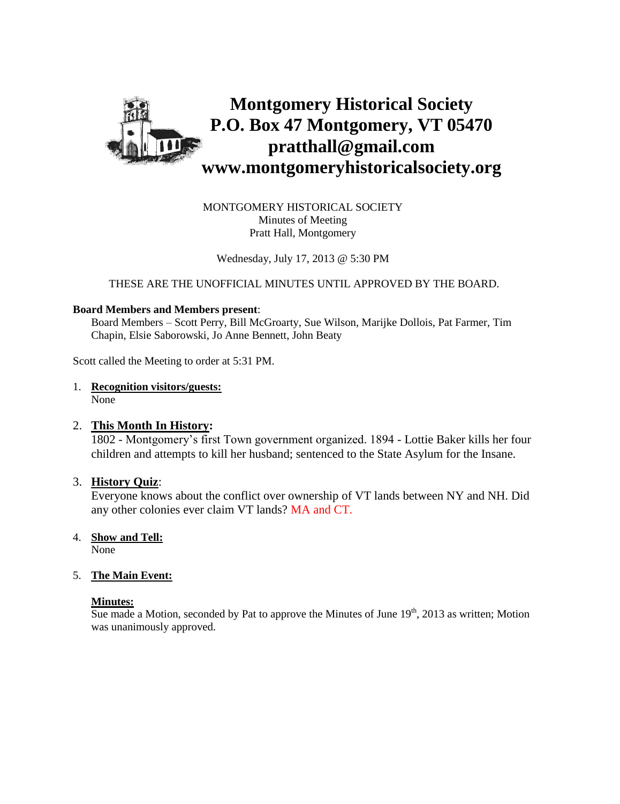

MONTGOMERY HISTORICAL SOCIETY Minutes of Meeting Pratt Hall, Montgomery

Wednesday, July 17, 2013 @ 5:30 PM

THESE ARE THE UNOFFICIAL MINUTES UNTIL APPROVED BY THE BOARD.

#### **Board Members and Members present**:

Board Members – Scott Perry, Bill McGroarty, Sue Wilson, Marijke Dollois, Pat Farmer, Tim Chapin, Elsie Saborowski, Jo Anne Bennett, John Beaty

Scott called the Meeting to order at 5:31 PM.

1. **Recognition visitors/guests:** None

#### 2. **This Month In History:**

1802 - Montgomery's first Town government organized. 1894 - Lottie Baker kills her four children and attempts to kill her husband; sentenced to the State Asylum for the Insane.

#### 3. **History Quiz**:

Everyone knows about the conflict over ownership of VT lands between NY and NH. Did any other colonies ever claim VT lands? MA and CT.

- 4. **Show and Tell:** None
- 5. **The Main Event:**

#### **Minutes:**

Sue made a Motion, seconded by Pat to approve the Minutes of June  $19<sup>th</sup>$ , 2013 as written; Motion was unanimously approved.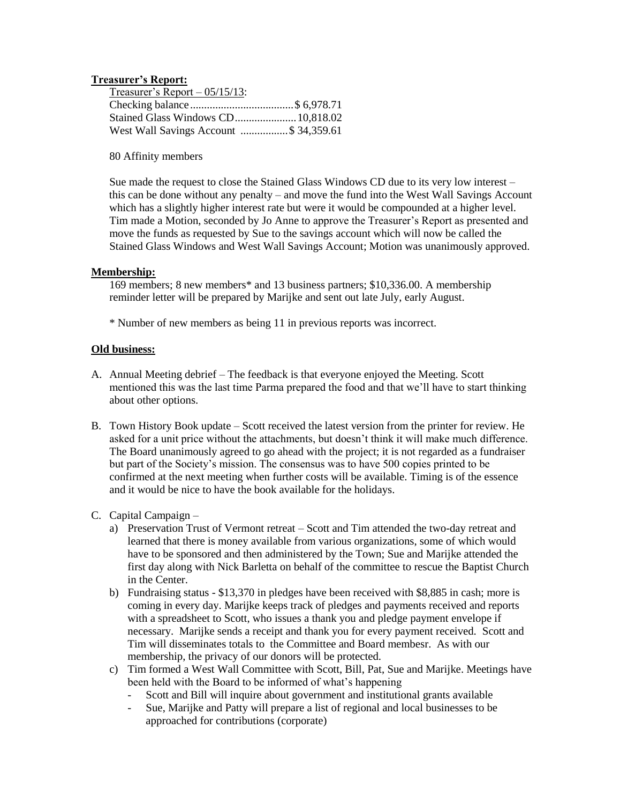#### **Treasurer's Report:**

| Treasurer's Report $-05/15/13$ :       |  |
|----------------------------------------|--|
|                                        |  |
| Stained Glass Windows CD 10,818.02     |  |
| West Wall Savings Account \$ 34,359.61 |  |

80 Affinity members

Sue made the request to close the Stained Glass Windows CD due to its very low interest – this can be done without any penalty – and move the fund into the West Wall Savings Account which has a slightly higher interest rate but were it would be compounded at a higher level. Tim made a Motion, seconded by Jo Anne to approve the Treasurer's Report as presented and move the funds as requested by Sue to the savings account which will now be called the Stained Glass Windows and West Wall Savings Account; Motion was unanimously approved.

#### **Membership:**

169 members; 8 new members\* and 13 business partners; \$10,336.00. A membership reminder letter will be prepared by Marijke and sent out late July, early August.

\* Number of new members as being 11 in previous reports was incorrect.

#### **Old business:**

- A. Annual Meeting debrief The feedback is that everyone enjoyed the Meeting. Scott mentioned this was the last time Parma prepared the food and that we'll have to start thinking about other options.
- B. Town History Book update Scott received the latest version from the printer for review. He asked for a unit price without the attachments, but doesn't think it will make much difference. The Board unanimously agreed to go ahead with the project; it is not regarded as a fundraiser but part of the Society's mission. The consensus was to have 500 copies printed to be confirmed at the next meeting when further costs will be available. Timing is of the essence and it would be nice to have the book available for the holidays.
- C. Capital Campaign
	- a) Preservation Trust of Vermont retreat Scott and Tim attended the two-day retreat and learned that there is money available from various organizations, some of which would have to be sponsored and then administered by the Town; Sue and Marijke attended the first day along with Nick Barletta on behalf of the committee to rescue the Baptist Church in the Center.
	- b) Fundraising status \$13,370 in pledges have been received with \$8,885 in cash; more is coming in every day. Marijke keeps track of pledges and payments received and reports with a spreadsheet to Scott, who issues a thank you and pledge payment envelope if necessary. Marijke sends a receipt and thank you for every payment received. Scott and Tim will disseminates totals to the Committee and Board membesr. As with our membership, the privacy of our donors will be protected.
	- c) Tim formed a West Wall Committee with Scott, Bill, Pat, Sue and Marijke. Meetings have been held with the Board to be informed of what's happening
		- Scott and Bill will inquire about government and institutional grants available
		- Sue, Marijke and Patty will prepare a list of regional and local businesses to be approached for contributions (corporate)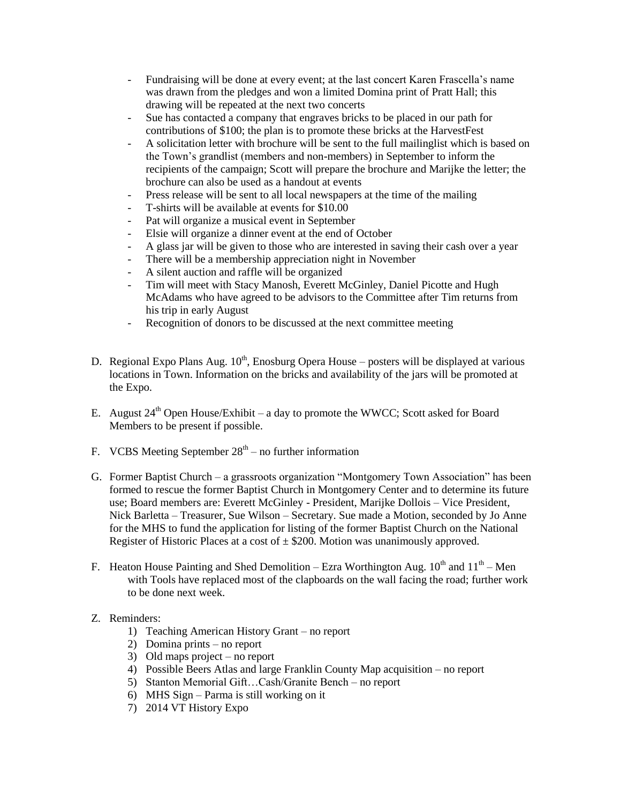- Fundraising will be done at every event; at the last concert Karen Frascella's name was drawn from the pledges and won a limited Domina print of Pratt Hall; this drawing will be repeated at the next two concerts
- Sue has contacted a company that engraves bricks to be placed in our path for contributions of \$100; the plan is to promote these bricks at the HarvestFest
- A solicitation letter with brochure will be sent to the full mailinglist which is based on the Town's grandlist (members and non-members) in September to inform the recipients of the campaign; Scott will prepare the brochure and Marijke the letter; the brochure can also be used as a handout at events
- Press release will be sent to all local newspapers at the time of the mailing
- T-shirts will be available at events for \$10.00
- Pat will organize a musical event in September
- Elsie will organize a dinner event at the end of October
- A glass jar will be given to those who are interested in saving their cash over a year
- There will be a membership appreciation night in November
- A silent auction and raffle will be organized
- Tim will meet with Stacy Manosh, Everett McGinley, Daniel Picotte and Hugh McAdams who have agreed to be advisors to the Committee after Tim returns from his trip in early August
- Recognition of donors to be discussed at the next committee meeting
- D. Regional Expo Plans Aug.  $10^{th}$ , Enosburg Opera House posters will be displayed at various locations in Town. Information on the bricks and availability of the jars will be promoted at the Expo.
- E. August  $24^{th}$  Open House/Exhibit a day to promote the WWCC; Scott asked for Board Members to be present if possible.
- F. VCBS Meeting September  $28<sup>th</sup>$  no further information
- G. Former Baptist Church a grassroots organization "Montgomery Town Association" has been formed to rescue the former Baptist Church in Montgomery Center and to determine its future use; Board members are: Everett McGinley - President, Marijke Dollois – Vice President, Nick Barletta – Treasurer, Sue Wilson – Secretary. Sue made a Motion, seconded by Jo Anne for the MHS to fund the application for listing of the former Baptist Church on the National Register of Historic Places at a cost of  $\pm$  \$200. Motion was unanimously approved.
- F. Heaton House Painting and Shed Demolition Ezra Worthington Aug.  $10^{th}$  and  $11^{th}$  Men with Tools have replaced most of the clapboards on the wall facing the road; further work to be done next week.
- Z. Reminders:
	- 1) Teaching American History Grant no report
	- 2) Domina prints no report
	- 3) Old maps project no report
	- 4) Possible Beers Atlas and large Franklin County Map acquisition no report
	- 5) Stanton Memorial Gift…Cash/Granite Bench no report
	- 6) MHS Sign Parma is still working on it
	- 7) 2014 VT History Expo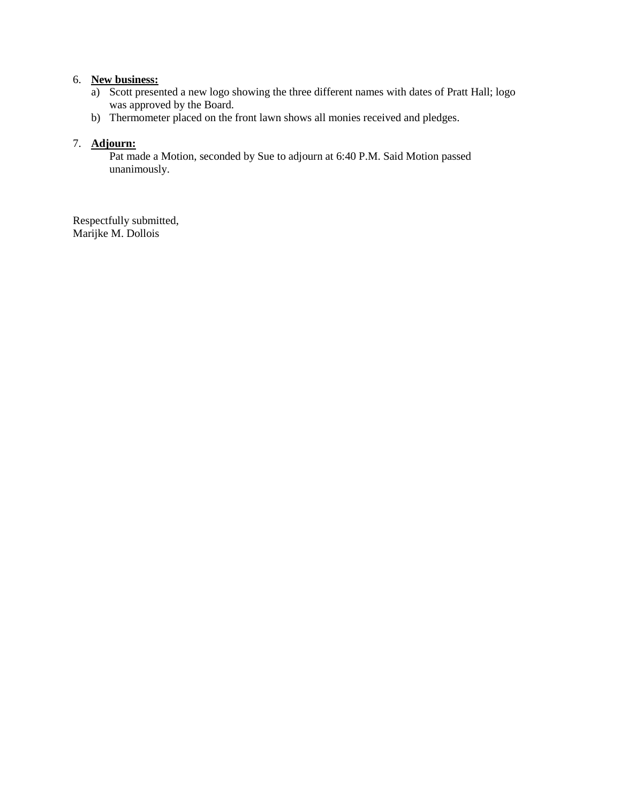## 6. **New business:**

- a) Scott presented a new logo showing the three different names with dates of Pratt Hall; logo was approved by the Board.
- b) Thermometer placed on the front lawn shows all monies received and pledges.

### 7. **Adjourn:**

Pat made a Motion, seconded by Sue to adjourn at 6:40 P.M. Said Motion passed unanimously.

Respectfully submitted, Marijke M. Dollois